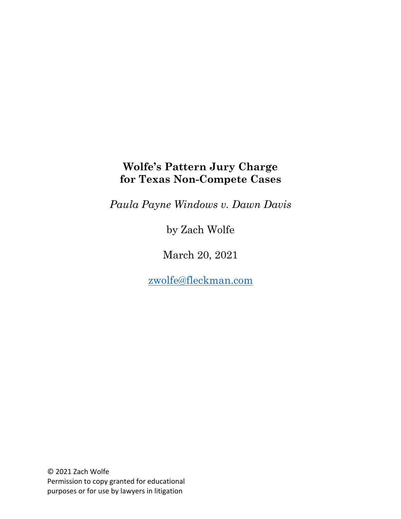# **Wolfe's Pattern Jury Charge for Texas Non-Compete Cases**

*Paula Payne Windows v. Dawn Davis*

by Zach Wolfe

March 20, 2021

zwolfe@fleckman.com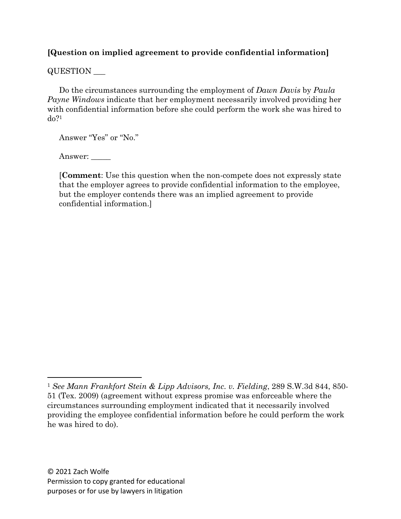# **[Question on implied agreement to provide confidential information]**

# QUESTION \_\_\_

Do the circumstances surrounding the employment of *Dawn Davis* by *Paula Payne Windows* indicate that her employment necessarily involved providing her with confidential information before she could perform the work she was hired to do?1

Answer "Yes" or "No."

Answer:

[**Comment**: Use this question when the non-compete does not expressly state that the employer agrees to provide confidential information to the employee, but the employer contends there was an implied agreement to provide confidential information.]

<sup>1</sup> *See Mann Frankfort Stein & Lipp Advisors, Inc. v. Fielding*, 289 S.W.3d 844, 850- 51 (Tex. 2009) (agreement without express promise was enforceable where the circumstances surrounding employment indicated that it necessarily involved providing the employee confidential information before he could perform the work he was hired to do).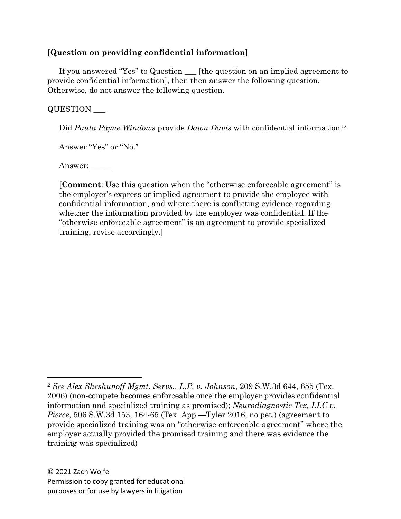# **[Question on providing confidential information]**

If you answered "Yes" to Question \_\_\_ [the question on an implied agreement to provide confidential information], then then answer the following question. Otherwise, do not answer the following question.

# QUESTION \_\_\_

Did *Paula Payne Windows* provide *Dawn Davis* with confidential information?2

Answer "Yes" or "No."

Answer: \_\_\_\_\_

[**Comment**: Use this question when the "otherwise enforceable agreement" is the employer's express or implied agreement to provide the employee with confidential information, and where there is conflicting evidence regarding whether the information provided by the employer was confidential. If the "otherwise enforceable agreement" is an agreement to provide specialized training, revise accordingly.]

<sup>2</sup> *See Alex Sheshunoff Mgmt. Servs., L.P. v. Johnson*, 209 S.W.3d 644, 655 (Tex. 2006) (non-compete becomes enforceable once the employer provides confidential information and specialized training as promised); *Neurodiagnostic Tex, LLC v. Pierce*, 506 S.W.3d 153, 164-65 (Tex. App.—Tyler 2016, no pet.) (agreement to provide specialized training was an "otherwise enforceable agreement" where the employer actually provided the promised training and there was evidence the training was specialized)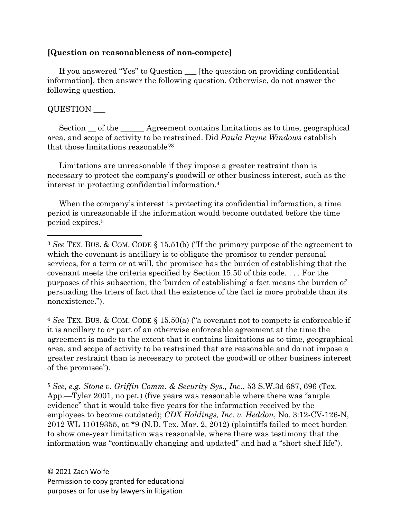### **[Question on reasonableness of non-compete]**

If you answered "Yes" to Question \_\_\_ [the question on providing confidential information], then answer the following question. Otherwise, do not answer the following question.

# QUESTION \_\_\_

Section  $\_\$  of the  $\_\_\_\$ Agreement contains limitations as to time, geographical area, and scope of activity to be restrained. Did *Paula Payne Windows* establish that those limitations reasonable?3

Limitations are unreasonable if they impose a greater restraint than is necessary to protect the company's goodwill or other business interest, such as the interest in protecting confidential information.4

When the company's interest is protecting its confidential information, a time period is unreasonable if the information would become outdated before the time period expires.5

<sup>4</sup> *See* TEX. BUS. & COM. CODE § 15.50(a) ("a covenant not to compete is enforceable if it is ancillary to or part of an otherwise enforceable agreement at the time the agreement is made to the extent that it contains limitations as to time, geographical area, and scope of activity to be restrained that are reasonable and do not impose a greater restraint than is necessary to protect the goodwill or other business interest of the promisee").

<sup>5</sup> *See, e.g. Stone v. Griffin Comm. & Security Sys., Inc.*, 53 S.W.3d 687, 696 (Tex. App.—Tyler 2001, no pet.) (five years was reasonable where there was "ample evidence" that it would take five years for the information received by the employees to become outdated); *CDX Holdings, Inc. v. Heddon*, No. 3:12-CV-126-N, 2012 WL 11019355, at \*9 (N.D. Tex. Mar. 2, 2012) (plaintiffs failed to meet burden to show one-year limitation was reasonable, where there was testimony that the information was "continually changing and updated" and had a "short shelf life").

<sup>3</sup> *See* TEX. BUS. & COM. CODE § 15.51(b) ("If the primary purpose of the agreement to which the covenant is ancillary is to obligate the promisor to render personal services, for a term or at will, the promisee has the burden of establishing that the covenant meets the criteria specified by Section 15.50 of this code. . . . For the purposes of this subsection, the 'burden of establishing' a fact means the burden of persuading the triers of fact that the existence of the fact is more probable than its nonexistence.").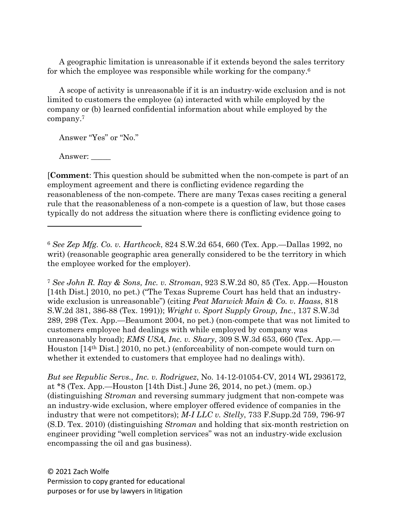A geographic limitation is unreasonable if it extends beyond the sales territory for which the employee was responsible while working for the company.6

A scope of activity is unreasonable if it is an industry-wide exclusion and is not limited to customers the employee (a) interacted with while employed by the company or (b) learned confidential information about while employed by the company.7

Answer "Yes" or "No."

Answer: \_\_\_\_

[**Comment**: This question should be submitted when the non-compete is part of an employment agreement and there is conflicting evidence regarding the reasonableness of the non-compete. There are many Texas cases reciting a general rule that the reasonableness of a non-compete is a question of law, but those cases typically do not address the situation where there is conflicting evidence going to

<sup>7</sup> *See John R. Ray & Sons, Inc. v. Stroman*, 923 S.W.2d 80, 85 (Tex. App.—Houston [14th Dist.] 2010, no pet.) ("The Texas Supreme Court has held that an industrywide exclusion is unreasonable") (citing *Peat Marwick Main & Co. v. Haass*, 818 S.W.2d 381, 386-88 (Tex. 1991)); *Wright v. Sport Supply Group, Inc.*, 137 S.W.3d 289, 298 (Tex. App.—Beaumont 2004, no pet.) (non-compete that was not limited to customers employee had dealings with while employed by company was unreasonably broad); *EMS USA, Inc. v. Shary*, 309 S.W.3d 653, 660 (Tex. App.— Houston [14th Dist.] 2010, no pet.) (enforceability of non-compete would turn on whether it extended to customers that employee had no dealings with).

*But see Republic Servs., Inc. v. Rodriguez*, No. 14-12-01054-CV, 2014 WL 2936172, at \*8 (Tex. App.—Houston [14th Dist.] June 26, 2014, no pet.) (mem. op.) (distinguishing *Stroman* and reversing summary judgment that non-compete was an industry-wide exclusion, where employer offered evidence of companies in the industry that were not competitors); *M-I LLC v. Stelly*, 733 F.Supp.2d 759, 796-97 (S.D. Tex. 2010) (distinguishing *Stroman* and holding that six-month restriction on engineer providing "well completion services" was not an industry-wide exclusion encompassing the oil and gas business).

<sup>6</sup> *See Zep Mfg. Co. v. Harthcock*, 824 S.W.2d 654, 660 (Tex. App.—Dallas 1992, no writ) (reasonable geographic area generally considered to be the territory in which the employee worked for the employer).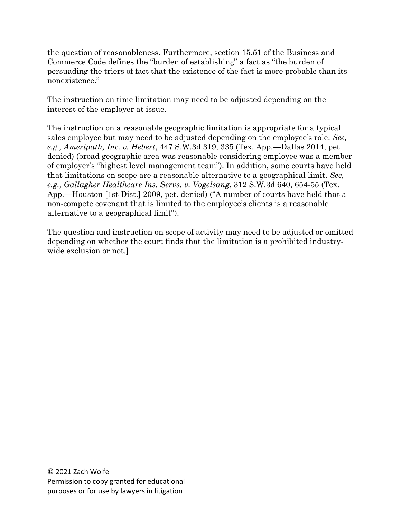the question of reasonableness. Furthermore, section 15.51 of the Business and Commerce Code defines the "burden of establishing" a fact as "the burden of persuading the triers of fact that the existence of the fact is more probable than its nonexistence."

The instruction on time limitation may need to be adjusted depending on the interest of the employer at issue.

The instruction on a reasonable geographic limitation is appropriate for a typical sales employee but may need to be adjusted depending on the employee's role. *See, e.g., Ameripath, Inc. v. Hebert*, 447 S.W.3d 319, 335 (Tex. App.—Dallas 2014, pet. denied) (broad geographic area was reasonable considering employee was a member of employer's "highest level management team"). In addition, some courts have held that limitations on scope are a reasonable alternative to a geographical limit. *See, e.g., Gallagher Healthcare Ins. Servs. v. Vogelsang*, 312 S.W.3d 640, 654-55 (Tex. App.—Houston [1st Dist.] 2009, pet. denied) ("A number of courts have held that a non-compete covenant that is limited to the employee's clients is a reasonable alternative to a geographical limit").

The question and instruction on scope of activity may need to be adjusted or omitted depending on whether the court finds that the limitation is a prohibited industrywide exclusion or not.]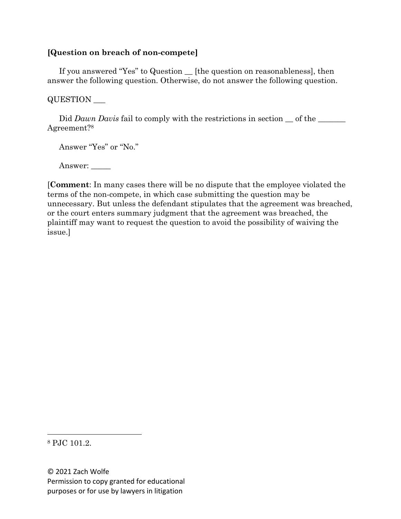# **[Question on breach of non-compete]**

If you answered "Yes" to Question \_\_ [the question on reasonableness], then answer the following question. Otherwise, do not answer the following question.

#### QUESTION \_\_\_

Did *Dawn Davis* fail to comply with the restrictions in section  $\_\$  of the  $\_\_\_\_\$ Agreement?8

Answer "Yes" or "No."

Answer: \_\_\_\_\_

[**Comment**: In many cases there will be no dispute that the employee violated the terms of the non-compete, in which case submitting the question may be unnecessary. But unless the defendant stipulates that the agreement was breached, or the court enters summary judgment that the agreement was breached, the plaintiff may want to request the question to avoid the possibility of waiving the issue.]

<sup>8</sup> PJC 101.2.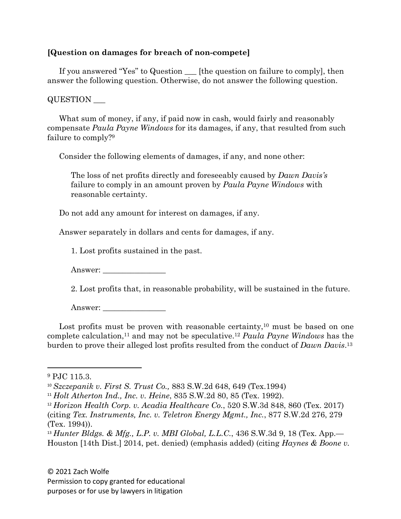# **[Question on damages for breach of non-compete]**

If you answered "Yes" to Question \_\_\_ [the question on failure to comply], then answer the following question. Otherwise, do not answer the following question.

#### QUESTION \_\_\_

What sum of money, if any, if paid now in cash, would fairly and reasonably compensate *Paula Payne Windows* for its damages, if any, that resulted from such failure to comply?9

Consider the following elements of damages, if any, and none other:

The loss of net profits directly and foreseeably caused by *Dawn Davis's* failure to comply in an amount proven by *Paula Payne Windows* with reasonable certainty.

Do not add any amount for interest on damages, if any.

Answer separately in dollars and cents for damages, if any.

1. Lost profits sustained in the past.

Answer:

2. Lost profits that, in reasonable probability, will be sustained in the future.

Answer:

Lost profits must be proven with reasonable certainty, $10$  must be based on one complete calculation,11 and may not be speculative.12 *Paula Payne Windows* has the burden to prove their alleged lost profits resulted from the conduct of *Dawn Davis*.13

<sup>9</sup> PJC 115.3.

<sup>10</sup> *Szczepanik v. First S. Trust Co.,* 883 S.W.2d 648, 649 (Tex.1994)

<sup>11</sup> *Holt Atherton Ind., Inc. v. Heine*, 835 S.W.2d 80, 85 (Tex. 1992).

<sup>12</sup> *Horizon Health Corp. v. Acadia Healthcare Co.*, 520 S.W.3d 848, 860 (Tex. 2017) (citing *Tex. Instruments, Inc. v. Teletron Energy Mgmt., Inc.*, 877 S.W.2d 276, 279 (Tex. 1994)).

<sup>13</sup> *Hunter Bldgs. & Mfg., L.P. v. MBI Global, L.L.C.*, 436 S.W.3d 9, 18 (Tex. App.— Houston [14th Dist.] 2014, pet. denied) (emphasis added) (citing *Haynes & Boone v.*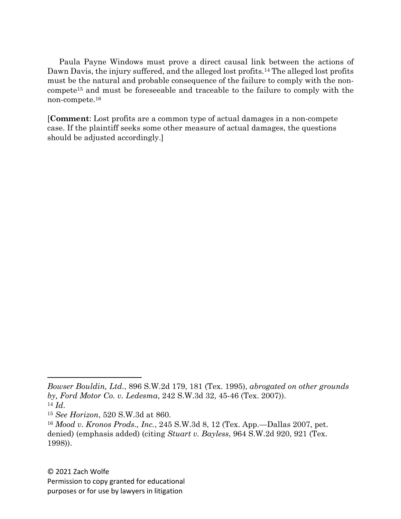Paula Payne Windows must prove a direct causal link between the actions of Dawn Davis, the injury suffered, and the alleged lost profits.14 The alleged lost profits must be the natural and probable consequence of the failure to comply with the noncompete15 and must be foreseeable and traceable to the failure to comply with the non-compete.16

[**Comment**: Lost profits are a common type of actual damages in a non-compete case. If the plaintiff seeks some other measure of actual damages, the questions should be adjusted accordingly.]

*Bowser Bouldin, Ltd.*, 896 S.W.2d 179, 181 (Tex. 1995), *abrogated on other grounds by, Ford Motor Co. v. Ledesma*, 242 S.W.3d 32, 45-46 (Tex. 2007)).

<sup>14</sup> *Id*. 15 *See Horizon*, 520 S.W.3d at 860.

<sup>16</sup> *Mood v. Kronos Prods., Inc.*, 245 S.W.3d 8, 12 (Tex. App.—Dallas 2007, pet. denied) (emphasis added) (citing *Stuart v. Bayless*, 964 S.W.2d 920, 921 (Tex. 1998)).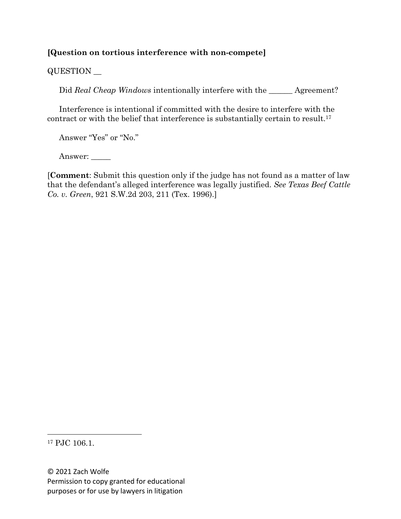# **[Question on tortious interference with non-compete]**

QUESTION \_\_

Did *Real Cheap Windows* intentionally interfere with the \_\_\_\_\_\_\_ Agreement?

Interference is intentional if committed with the desire to interfere with the contract or with the belief that interference is substantially certain to result.17

Answer "Yes" or "No."

Answer:

[**Comment**: Submit this question only if the judge has not found as a matter of law that the defendant's alleged interference was legally justified. *See Texas Beef Cattle Co. v. Green*, 921 S.W.2d 203, 211 (Tex. 1996).]

<sup>17</sup> PJC 106.1.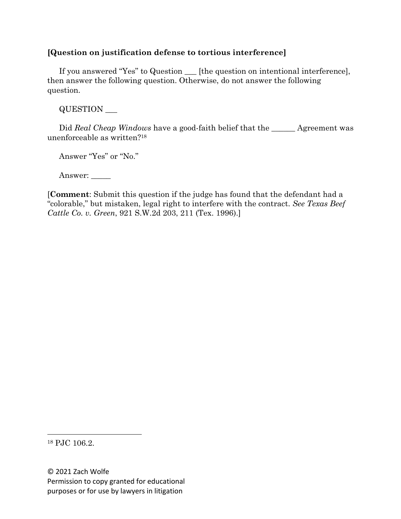# **[Question on justification defense to tortious interference]**

If you answered "Yes" to Question \_\_\_ [the question on intentional interference], then answer the following question. Otherwise, do not answer the following question.

QUESTION \_\_\_

Did *Real Cheap Windows* have a good-faith belief that the <u>equal</u> Agreement was unenforceable as written?18

Answer "Yes" or "No."

Answer: \_\_\_\_\_

[**Comment**: Submit this question if the judge has found that the defendant had a "colorable," but mistaken, legal right to interfere with the contract. *See Texas Beef Cattle Co. v. Green*, 921 S.W.2d 203, 211 (Tex. 1996).]

<sup>18</sup> PJC 106.2.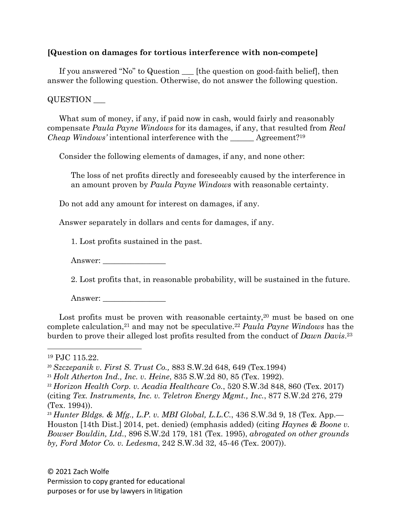### **[Question on damages for tortious interference with non-compete]**

If you answered "No" to Question \_\_\_ [the question on good-faith belief], then answer the following question. Otherwise, do not answer the following question.

#### QUESTION \_\_\_

What sum of money, if any, if paid now in cash, would fairly and reasonably compensate *Paula Payne Windows* for its damages, if any, that resulted from *Real Cheap Windows'* intentional interference with the \_\_\_\_\_\_ Agreement?19

Consider the following elements of damages, if any, and none other:

The loss of net profits directly and foreseeably caused by the interference in an amount proven by *Paula Payne Windows* with reasonable certainty.

Do not add any amount for interest on damages, if any.

Answer separately in dollars and cents for damages, if any.

1. Lost profits sustained in the past.

Answer:

2. Lost profits that, in reasonable probability, will be sustained in the future.

Answer:

Lost profits must be proven with reasonable certainty,  $20$  must be based on one complete calculation,21 and may not be speculative.22 *Paula Payne Windows* has the burden to prove their alleged lost profits resulted from the conduct of *Dawn Davis*.23

<sup>19</sup> PJC 115.22.

<sup>20</sup> *Szczepanik v. First S. Trust Co.,* 883 S.W.2d 648, 649 (Tex.1994)

<sup>21</sup> *Holt Atherton Ind., Inc. v. Heine*, 835 S.W.2d 80, 85 (Tex. 1992).

<sup>22</sup> *Horizon Health Corp. v. Acadia Healthcare Co.*, 520 S.W.3d 848, 860 (Tex. 2017) (citing *Tex. Instruments, Inc. v. Teletron Energy Mgmt., Inc.*, 877 S.W.2d 276, 279

<sup>(</sup>Tex. 1994)).

<sup>23</sup> *Hunter Bldgs. & Mfg., L.P. v. MBI Global, L.L.C.*, 436 S.W.3d 9, 18 (Tex. App.— Houston [14th Dist.] 2014, pet. denied) (emphasis added) (citing *Haynes & Boone v. Bowser Bouldin, Ltd.*, 896 S.W.2d 179, 181 (Tex. 1995), *abrogated on other grounds by, Ford Motor Co. v. Ledesma*, 242 S.W.3d 32, 45-46 (Tex. 2007)).